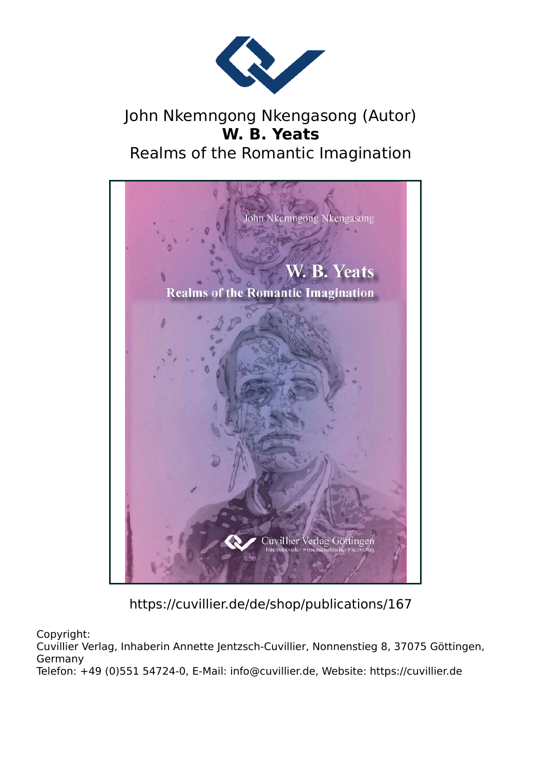

## John Nkemngong Nkengasong (Autor) **W. B. Yeats** Realms of the Romantic Imagination



https://cuvillier.de/de/shop/publications/167

Copyright:

Cuvillier Verlag, Inhaberin Annette Jentzsch-Cuvillier, Nonnenstieg 8, 37075 Göttingen, Germany

Telefon: +49 (0)551 54724-0, E-Mail: info@cuvillier.de, Website: https://cuvillier.de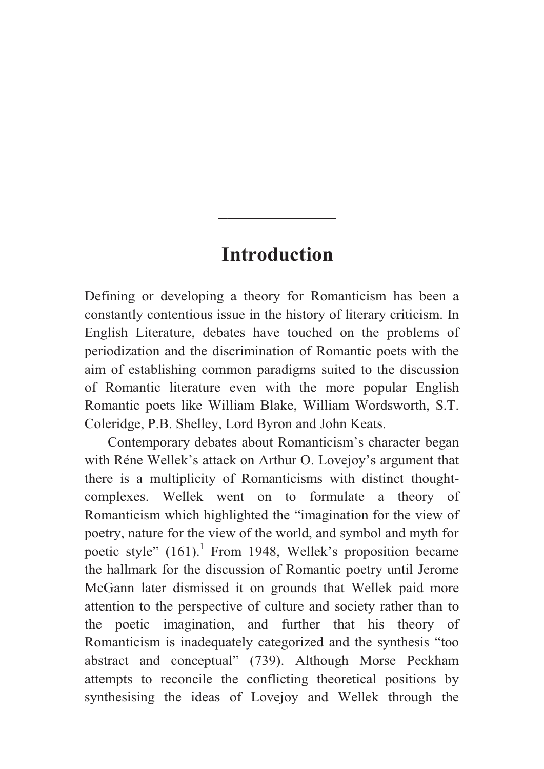## **Introduction**

**\_\_\_\_\_\_\_\_\_\_\_\_\_** 

Defining or developing a theory for Romanticism has been a constantly contentious issue in the history of literary criticism. In English Literature, debates have touched on the problems of periodization and the discrimination of Romantic poets with the aim of establishing common paradigms suited to the discussion of Romantic literature even with the more popular English Romantic poets like William Blake, William Wordsworth, S.T. Coleridge, P.B. Shelley, Lord Byron and John Keats.

Contemporary debates about Romanticism's character began with Réne Wellek's attack on Arthur O. Lovejoy's argument that there is a multiplicity of Romanticisms with distinct thoughtcomplexes. Wellek went on to formulate a theory of Romanticism which highlighted the "imagination for the view of poetry, nature for the view of the world, and symbol and myth for poetic style"  $(161)$ .<sup>1</sup> From 1948, Wellek's proposition became the hallmark for the discussion of Romantic poetry until Jerome McGann later dismissed it on grounds that Wellek paid more attention to the perspective of culture and society rather than to the poetic imagination, and further that his theory of Romanticism is inadequately categorized and the synthesis "too abstract and conceptual" (739). Although Morse Peckham attempts to reconcile the conflicting theoretical positions by synthesising the ideas of Lovejoy and Wellek through the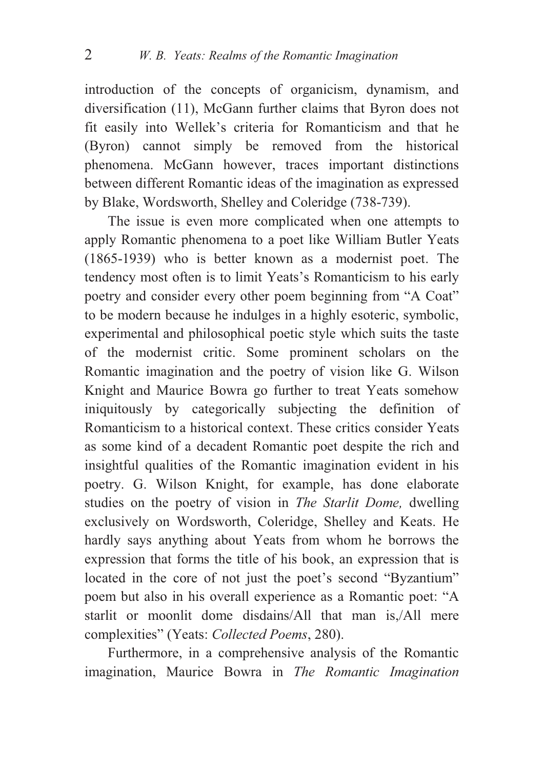introduction of the concepts of organicism, dynamism, and diversification (11), McGann further claims that Byron does not fit easily into Wellek's criteria for Romanticism and that he (Byron) cannot simply be removed from the historical phenomena. McGann however, traces important distinctions between different Romantic ideas of the imagination as expressed by Blake, Wordsworth, Shelley and Coleridge (738-739).

The issue is even more complicated when one attempts to apply Romantic phenomena to a poet like William Butler Yeats (1865-1939) who is better known as a modernist poet. The tendency most often is to limit Yeats's Romanticism to his early poetry and consider every other poem beginning from "A Coat" to be modern because he indulges in a highly esoteric, symbolic, experimental and philosophical poetic style which suits the taste of the modernist critic. Some prominent scholars on the Romantic imagination and the poetry of vision like G. Wilson Knight and Maurice Bowra go further to treat Yeats somehow iniquitously by categorically subjecting the definition of Romanticism to a historical context. These critics consider Yeats as some kind of a decadent Romantic poet despite the rich and insightful qualities of the Romantic imagination evident in his poetry. G. Wilson Knight, for example, has done elaborate studies on the poetry of vision in *The Starlit Dome,* dwelling exclusively on Wordsworth, Coleridge, Shelley and Keats. He hardly says anything about Yeats from whom he borrows the expression that forms the title of his book, an expression that is located in the core of not just the poet's second "Byzantium" poem but also in his overall experience as a Romantic poet: "A starlit or moonlit dome disdains/All that man is,/All mere complexities" (Yeats: *Collected Poems*, 280).

Furthermore, in a comprehensive analysis of the Romantic imagination, Maurice Bowra in *The Romantic Imagination*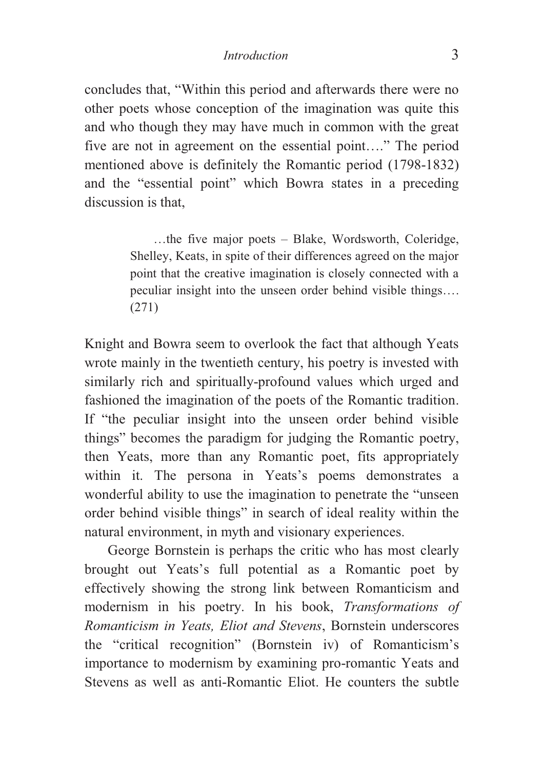## *Introduction* 3

concludes that, "Within this period and afterwards there were no other poets whose conception of the imagination was quite this and who though they may have much in common with the great five are not in agreement on the essential point…." The period mentioned above is definitely the Romantic period (1798-1832) and the "essential point" which Bowra states in a preceding discussion is that,

> …the five major poets – Blake, Wordsworth, Coleridge, Shelley, Keats, in spite of their differences agreed on the major point that the creative imagination is closely connected with a peculiar insight into the unseen order behind visible things…. (271)

Knight and Bowra seem to overlook the fact that although Yeats wrote mainly in the twentieth century, his poetry is invested with similarly rich and spiritually-profound values which urged and fashioned the imagination of the poets of the Romantic tradition. If "the peculiar insight into the unseen order behind visible things" becomes the paradigm for judging the Romantic poetry, then Yeats, more than any Romantic poet, fits appropriately within it. The persona in Yeats's poems demonstrates a wonderful ability to use the imagination to penetrate the "unseen order behind visible things" in search of ideal reality within the natural environment, in myth and visionary experiences.

George Bornstein is perhaps the critic who has most clearly brought out Yeats's full potential as a Romantic poet by effectively showing the strong link between Romanticism and modernism in his poetry. In his book, *Transformations of Romanticism in Yeats, Eliot and Stevens*, Bornstein underscores the "critical recognition" (Bornstein iv) of Romanticism's importance to modernism by examining pro-romantic Yeats and Stevens as well as anti-Romantic Eliot. He counters the subtle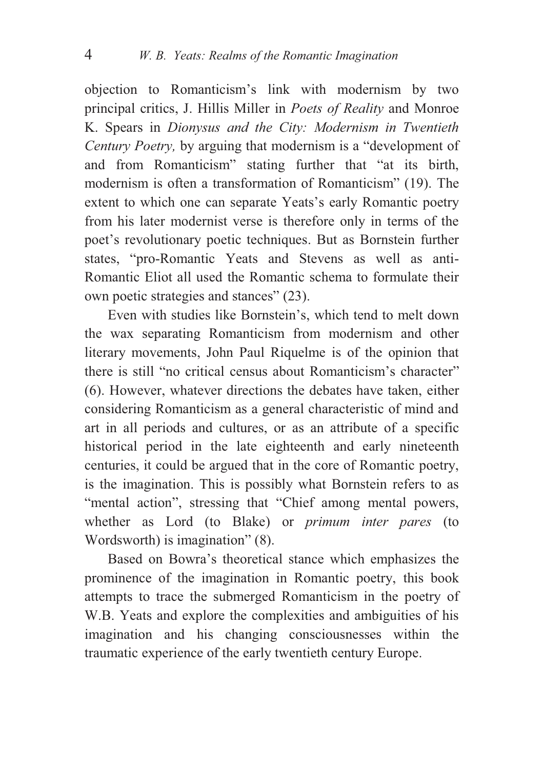objection to Romanticism's link with modernism by two principal critics, J. Hillis Miller in *Poets of Reality* and Monroe K. Spears in *Dionysus and the City: Modernism in Twentieth Century Poetry,* by arguing that modernism is a "development of and from Romanticism" stating further that "at its birth, modernism is often a transformation of Romanticism" (19). The extent to which one can separate Yeats's early Romantic poetry from his later modernist verse is therefore only in terms of the poet's revolutionary poetic techniques. But as Bornstein further states, "pro-Romantic Yeats and Stevens as well as anti-Romantic Eliot all used the Romantic schema to formulate their own poetic strategies and stances" (23).

Even with studies like Bornstein's, which tend to melt down the wax separating Romanticism from modernism and other literary movements, John Paul Riquelme is of the opinion that there is still "no critical census about Romanticism's character" (6). However, whatever directions the debates have taken, either considering Romanticism as a general characteristic of mind and art in all periods and cultures, or as an attribute of a specific historical period in the late eighteenth and early nineteenth centuries, it could be argued that in the core of Romantic poetry, is the imagination. This is possibly what Bornstein refers to as "mental action", stressing that "Chief among mental powers, whether as Lord (to Blake) or *primum inter pares* (to Wordsworth) is imagination" (8).

Based on Bowra's theoretical stance which emphasizes the prominence of the imagination in Romantic poetry, this book attempts to trace the submerged Romanticism in the poetry of W.B. Yeats and explore the complexities and ambiguities of his imagination and his changing consciousnesses within the traumatic experience of the early twentieth century Europe.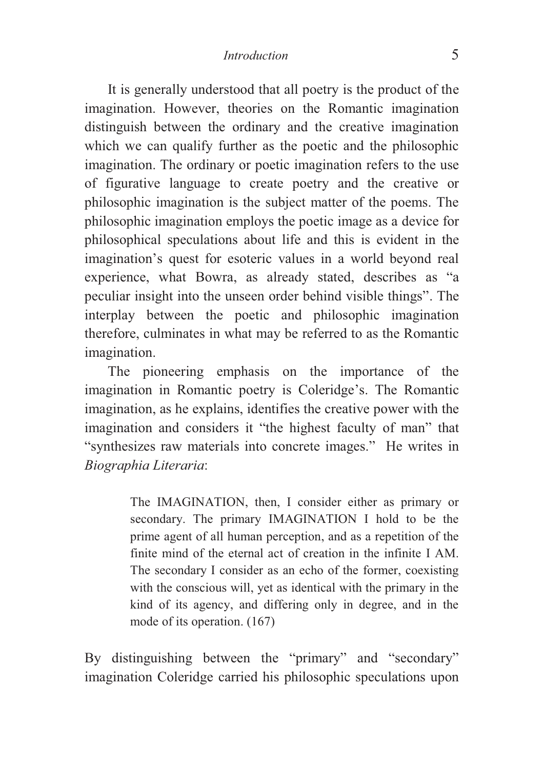It is generally understood that all poetry is the product of the imagination. However, theories on the Romantic imagination distinguish between the ordinary and the creative imagination which we can qualify further as the poetic and the philosophic imagination. The ordinary or poetic imagination refers to the use of figurative language to create poetry and the creative or philosophic imagination is the subject matter of the poems. The philosophic imagination employs the poetic image as a device for philosophical speculations about life and this is evident in the imagination's quest for esoteric values in a world beyond real experience, what Bowra, as already stated, describes as "a peculiar insight into the unseen order behind visible things". The interplay between the poetic and philosophic imagination therefore, culminates in what may be referred to as the Romantic imagination.

The pioneering emphasis on the importance of the imagination in Romantic poetry is Coleridge's. The Romantic imagination, as he explains, identifies the creative power with the imagination and considers it "the highest faculty of man" that "synthesizes raw materials into concrete images." He writes in *Biographia Literaria*:

> The IMAGINATION, then, I consider either as primary or secondary. The primary IMAGINATION I hold to be the prime agent of all human perception, and as a repetition of the finite mind of the eternal act of creation in the infinite I AM. The secondary I consider as an echo of the former, coexisting with the conscious will, yet as identical with the primary in the kind of its agency, and differing only in degree, and in the mode of its operation. (167)

By distinguishing between the "primary" and "secondary" imagination Coleridge carried his philosophic speculations upon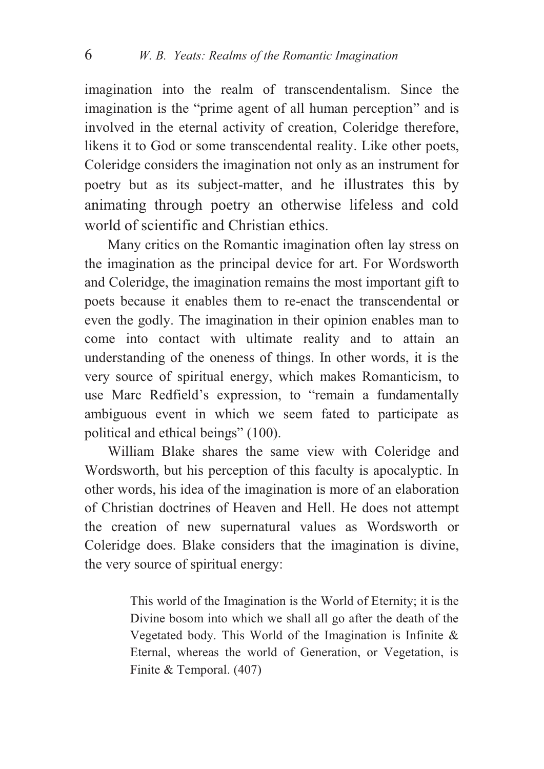imagination into the realm of transcendentalism. Since the imagination is the "prime agent of all human perception" and is involved in the eternal activity of creation, Coleridge therefore, likens it to God or some transcendental reality. Like other poets, Coleridge considers the imagination not only as an instrument for poetry but as its subject-matter, and he illustrates this by animating through poetry an otherwise lifeless and cold world of scientific and Christian ethics.

Many critics on the Romantic imagination often lay stress on the imagination as the principal device for art. For Wordsworth and Coleridge, the imagination remains the most important gift to poets because it enables them to re-enact the transcendental or even the godly. The imagination in their opinion enables man to come into contact with ultimate reality and to attain an understanding of the oneness of things. In other words, it is the very source of spiritual energy, which makes Romanticism, to use Marc Redfield's expression, to "remain a fundamentally ambiguous event in which we seem fated to participate as political and ethical beings" (100).

William Blake shares the same view with Coleridge and Wordsworth, but his perception of this faculty is apocalyptic. In other words, his idea of the imagination is more of an elaboration of Christian doctrines of Heaven and Hell. He does not attempt the creation of new supernatural values as Wordsworth or Coleridge does. Blake considers that the imagination is divine, the very source of spiritual energy:

> This world of the Imagination is the World of Eternity; it is the Divine bosom into which we shall all go after the death of the Vegetated body. This World of the Imagination is Infinite & Eternal, whereas the world of Generation, or Vegetation, is Finite & Temporal. (407)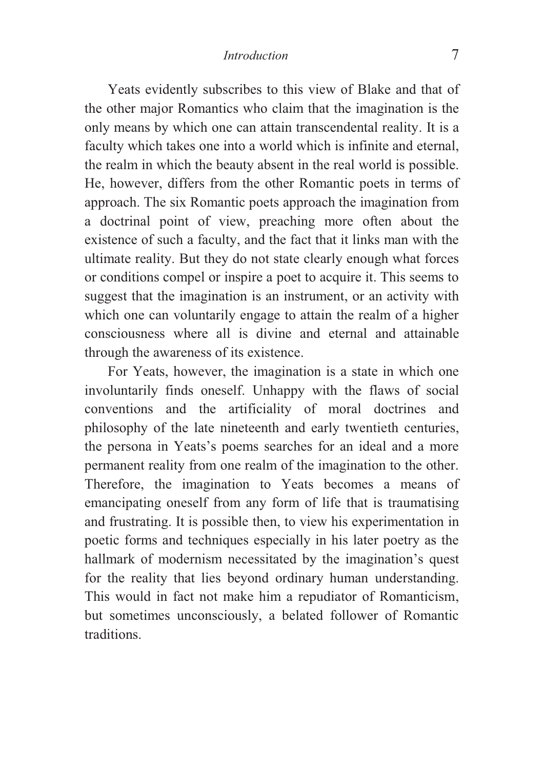Yeats evidently subscribes to this view of Blake and that of the other major Romantics who claim that the imagination is the only means by which one can attain transcendental reality. It is a faculty which takes one into a world which is infinite and eternal, the realm in which the beauty absent in the real world is possible. He, however, differs from the other Romantic poets in terms of approach. The six Romantic poets approach the imagination from a doctrinal point of view, preaching more often about the existence of such a faculty, and the fact that it links man with the ultimate reality. But they do not state clearly enough what forces or conditions compel or inspire a poet to acquire it. This seems to suggest that the imagination is an instrument, or an activity with which one can voluntarily engage to attain the realm of a higher consciousness where all is divine and eternal and attainable through the awareness of its existence.

For Yeats, however, the imagination is a state in which one involuntarily finds oneself. Unhappy with the flaws of social conventions and the artificiality of moral doctrines and philosophy of the late nineteenth and early twentieth centuries, the persona in Yeats's poems searches for an ideal and a more permanent reality from one realm of the imagination to the other. Therefore, the imagination to Yeats becomes a means of emancipating oneself from any form of life that is traumatising and frustrating. It is possible then, to view his experimentation in poetic forms and techniques especially in his later poetry as the hallmark of modernism necessitated by the imagination's quest for the reality that lies beyond ordinary human understanding. This would in fact not make him a repudiator of Romanticism, but sometimes unconsciously, a belated follower of Romantic traditions.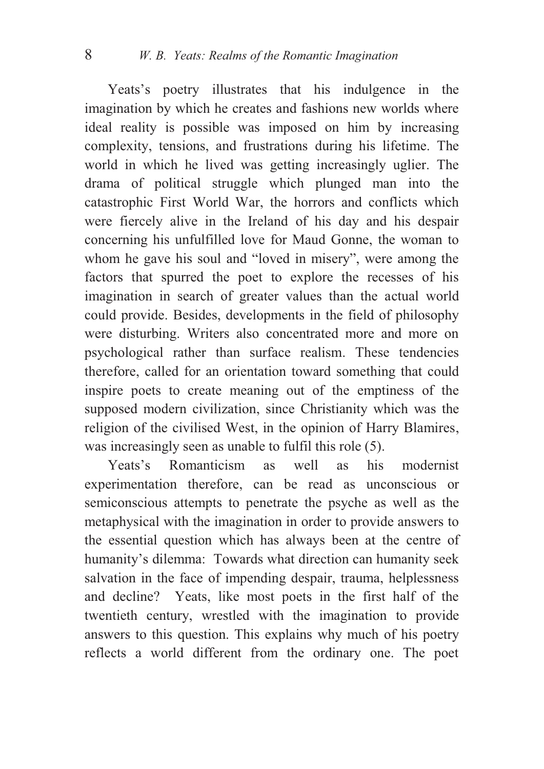Yeats's poetry illustrates that his indulgence in the imagination by which he creates and fashions new worlds where ideal reality is possible was imposed on him by increasing complexity, tensions, and frustrations during his lifetime. The world in which he lived was getting increasingly uglier. The drama of political struggle which plunged man into the catastrophic First World War, the horrors and conflicts which were fiercely alive in the Ireland of his day and his despair concerning his unfulfilled love for Maud Gonne, the woman to whom he gave his soul and "loved in misery", were among the factors that spurred the poet to explore the recesses of his imagination in search of greater values than the actual world could provide. Besides, developments in the field of philosophy were disturbing. Writers also concentrated more and more on psychological rather than surface realism. These tendencies therefore, called for an orientation toward something that could inspire poets to create meaning out of the emptiness of the supposed modern civilization, since Christianity which was the religion of the civilised West, in the opinion of Harry Blamires, was increasingly seen as unable to fulfil this role (5).

Yeats's Romanticism as well as his modernist experimentation therefore, can be read as unconscious or semiconscious attempts to penetrate the psyche as well as the metaphysical with the imagination in order to provide answers to the essential question which has always been at the centre of humanity's dilemma: Towards what direction can humanity seek salvation in the face of impending despair, trauma, helplessness and decline? Yeats, like most poets in the first half of the twentieth century, wrestled with the imagination to provide answers to this question. This explains why much of his poetry reflects a world different from the ordinary one. The poet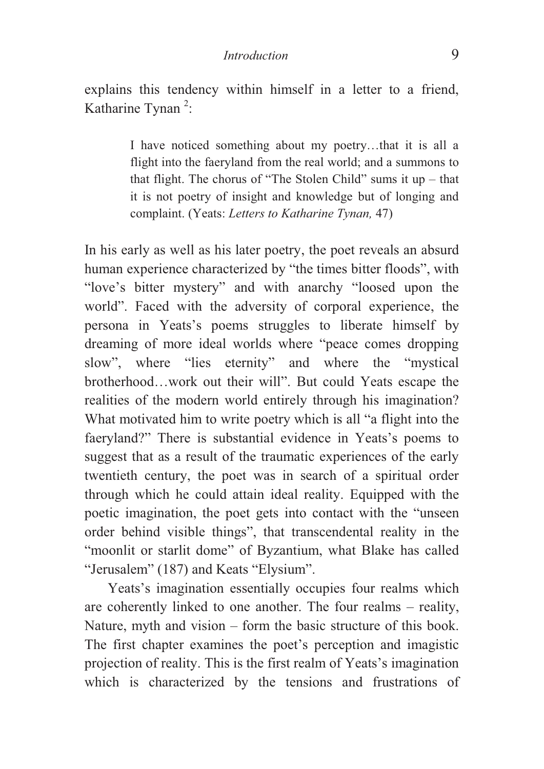explains this tendency within himself in a letter to a friend, Katharine Tynan $^2$ :

> I have noticed something about my poetry…that it is all a flight into the faeryland from the real world; and a summons to that flight. The chorus of "The Stolen Child" sums it up – that it is not poetry of insight and knowledge but of longing and complaint. (Yeats: *Letters to Katharine Tynan,* 47)

In his early as well as his later poetry, the poet reveals an absurd human experience characterized by "the times bitter floods", with "love's bitter mystery" and with anarchy "loosed upon the world". Faced with the adversity of corporal experience, the persona in Yeats's poems struggles to liberate himself by dreaming of more ideal worlds where "peace comes dropping slow", where "lies eternity" and where the "mystical brotherhood…work out their will". But could Yeats escape the realities of the modern world entirely through his imagination? What motivated him to write poetry which is all "a flight into the faeryland?" There is substantial evidence in Yeats's poems to suggest that as a result of the traumatic experiences of the early twentieth century, the poet was in search of a spiritual order through which he could attain ideal reality. Equipped with the poetic imagination, the poet gets into contact with the "unseen order behind visible things", that transcendental reality in the "moonlit or starlit dome" of Byzantium, what Blake has called "Jerusalem" (187) and Keats "Elysium".

Yeats's imagination essentially occupies four realms which are coherently linked to one another. The four realms – reality, Nature, myth and vision – form the basic structure of this book. The first chapter examines the poet's perception and imagistic projection of reality. This is the first realm of Yeats's imagination which is characterized by the tensions and frustrations of